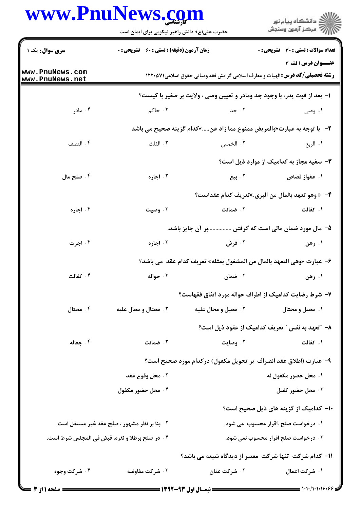## www.PnuNews.com

اران<br>است دانشگاه پیام نور<br>است مرکز آزمون وسنجش حضرت علی(ع): دانش راهبر نیکویی برای ایمان است **سری سوال:** یک ۱ **تعداد سوالات : تستی : 30 ٪ تشریحی : 0 زمان آزمون (دقیقه) : تستی : 60 ٪ تشریحی : 0** عنــوان درس: فقه 3 www.PnuNews.com **رشته تحصیلی/کد درس: ا**لهیات و معارف اسلامی گرایش فقه ومبانی حقوق اسلامی2210 1220 www.PnuNews.net ا– بعد از فوت پدر، با وجود جد ومادر و تعیین وصی ، ولایت بر صغیر با کیست؟ ۰۴ مادر ۰۳ حاکم ۲. حد ۰۱ وصی ٢- با توجه به عبارت«والمريض ممنوع مما زاد عن.....»كدام گزينه صحيح مي باشد ۰۴ النصف ۰۳ الثلث ۰۲ الخمس ١. الربع ۳- سفیه مجاز به کدامیک از موارد ذیل است؟ ۰۴ صلح مال ۰۳ اجاره ۲. سع ۰۱ عفواز قصاص ۴- «وهو تعهد بالمال من البري.»تعريف كدام عقداست؟ ۰۴ اجاره ۰۲ ضمانت ۰۱ کفالت ۰۳ وصیت ۵– مال مورد ضمان مالی است که گرفتن ................... آن جایز باشد. ۰۴ اجرت ۰۳ اجاره ٢. قرض ۰۱ رهن ۶– عبارت «وهي التعهد بالمال من المشغول بمثله» تعريف كدام عقد مي باشد؟ ۰۴ كفالت ۰۳ حواله ۰۲ ضمان ۰۱ رهن ۷– شرط رضایت کدامیک از اطراف حواله مورد اتفاق فقهاست؟ ۰۴ محتال ۰۳ محتال و محال علیه ۰۲ محیل و محال علیه ۰۱ محیل و محتال ۸– ″تعهد به نفس ″ تعریف کدامیک از عقود ذیل است؟ ۰۱ کفالت ۰۴ حعاله ۰۳ ضمانت ۰۲ وصایت ٩- عبارت (اطلاق عقد انصراف بر تحويل مكفول) دركدام مورد صحيح است؟ ٢. محل وقوع عقد ١. محل حضور مكفول له ۰۴ محل حضور مکفول ۰۳ محل حضور کفیل ۰۱- کدامیک از گزینه های ذیل صحیح است؟ **۲ . بنا بر نظر مشهور ، صلح عقد غیر مستقل است.** ۰۱ درخواست صلح ،اقرار محسوب می شود. ۰۴ در صلح برطلا و نقره، قبض في المجلس شرط است. ۰۳ درخواست صلح اقرار محسوب نمی شود. 11- کدام شرکت تنها شرکت معتبر از دیدگاه شیعه می باشد؟ ۰۴ شرکت وجوه ۰۳ شرکت مفاوضه ۰۲ شرکت عنان ۱. شرکت اعمال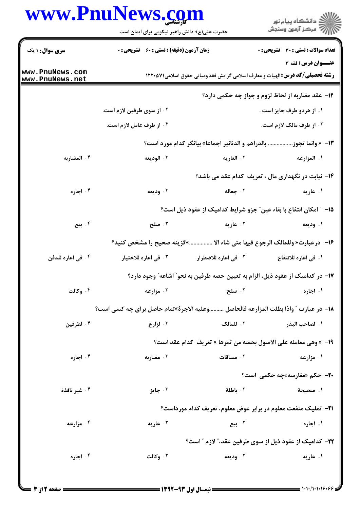## www.PnuNews.com

| www.PnuNews.com                    |                                                                                   | حضرت علی(ع): دانش راهبر نیکویی برای ایمان است      |                             | ڪ دانشڪاه پيا <sub>م</sub> نور<br>۾ سرڪز آزمون وسنڊش                                                       |  |  |
|------------------------------------|-----------------------------------------------------------------------------------|----------------------------------------------------|-----------------------------|------------------------------------------------------------------------------------------------------------|--|--|
| <b>سری سوال : ۱ یک</b>             |                                                                                   | <b>زمان آزمون (دقیقه) : تستی : 60 ٪ تشریحی : 0</b> |                             | <b>تعداد سوالات : تستی : 30 ٪ تشریحی : 0</b>                                                               |  |  |
| www.PnuNews.com<br>www.PnuNews.net |                                                                                   |                                                    |                             | عنــوان درس: فقه 3<br><b>رشته تحصیلی/گد درس:</b> الهیات و معارف اسلامی گرایش فقه ومبانی حقوق اسلامی۱۲۲۰۵۷۱ |  |  |
|                                    |                                                                                   |                                                    |                             | <b>۱۲</b> - عقد مضاربه از لحاظ لزوم و جواز چه حکمی دارد؟                                                   |  |  |
|                                    | ۰۲ از سوی طرفین لازم است.                                                         |                                                    |                             | ۰۱ از هردو طرف جایز است .                                                                                  |  |  |
|                                    | ۰۴ از طرف عامل لازم است.                                                          |                                                    | ۰۳ از طرف مالک لازم است.    |                                                                                                            |  |  |
|                                    |                                                                                   |                                                    |                             | 13- « وانما تجوز بالدراهم و الدنانير اجماعا» بيانگر كدام مورد است؟                                         |  |  |
| ۰۴ المضاربه                        |                                                                                   | ۰۳ الوديعه                                         | ۰۲ العاريه                  | ١. المزارعه                                                                                                |  |  |
|                                    |                                                                                   |                                                    |                             | <b>۱۴</b> - نیابت در نگهداری مال ، تعریف کدام عقد می باشد؟                                                 |  |  |
| ۰۴ اجاره                           |                                                                                   | ۰۳ ودیعه                                           | ۰۲ جعاله                    | ۰۱ عاریه                                                                                                   |  |  |
|                                    |                                                                                   |                                                    |                             | ۱۵− ″ امکان انتفاع با بقاء عین″ جزو شرایط کدامیک از عقود ذیل است؟                                          |  |  |
| ۰۴ بیع                             |                                                                                   | ۰۳ صلح                                             | ۰۲ عاریه                    | ۰۱ ودیعه                                                                                                   |  |  |
|                                    |                                                                                   |                                                    |                             | ۱۶− درعبارت« وللمالك الرجوع فيها متى شاء الا »گزينه صحيح را مشخص كنيد؟                                     |  |  |
| ۰۴ في اعاره للدفن                  |                                                                                   | ۰۳ في اعاره للاختيار                               | <b>1. في اعاره للاضطرار</b> | ١. في اعاره للانتفاع                                                                                       |  |  |
|                                    |                                                                                   |                                                    |                             | ۱۷– در کدامیک از عقود ذیل، الزام به تعیین حصه طرفین به نحو ؒ اشاعه ؒ وجود دارد؟                            |  |  |
| ۰۴ وکالت                           |                                                                                   | ۰۳ مزارعه                                          | ۰۲ صلح                      | ۰۱ اجاره                                                                                                   |  |  |
|                                    | 18− در عبارت ″ واذا بطلت المزارعه فالحاصل وعليه الاجرة»تمام حاصل براي چه كسي است؟ |                                                    |                             |                                                                                                            |  |  |
| ۰۴ لطرفين                          |                                                                                   | ۰۳ لزارع                                           | ٠٢ للمالك                   | ١. لصاحب البذر                                                                                             |  |  |
|                                    |                                                                                   |                                                    |                             | 19- «وهي معامله على الاصول بحصه من ثمرها » تعريف  كدام عقد است؟                                            |  |  |
| ۰۴ اجاره                           |                                                                                   | ۰۳ مضاربه                                          | ۰۲ مساقات                   | ۰۱ مزارعه                                                                                                  |  |  |
|                                    |                                                                                   |                                                    |                             | <b>۲۰-</b> حکم «مغارسه»چه حکمی است؟                                                                        |  |  |
| ۰۴ غیر نافذهٔ                      |                                                                                   | ۰۳ جایز                                            | ٢. باطلة                    | ١. صحيحة                                                                                                   |  |  |
|                                    |                                                                                   |                                                    |                             | <b>۲۱</b> - تملیک منفعت معلوم در برابر عوض معلوم، تعریف کدام مورداست؟                                      |  |  |
| ۰۴ مزارعه                          |                                                                                   | ۰۳ عاریه                                           | ۰۲ بیع                      | ۰۱ اجاره                                                                                                   |  |  |
|                                    |                                                                                   |                                                    |                             | ٢٢- كداميك از عقود ذيل از سوى طرفين عقد،" لازم " است؟                                                      |  |  |
| ۰۴ اجاره                           |                                                                                   | ۰۳ وکالت                                           | ۰۲ ودیعه                    | ۰۱ عاریه                                                                                                   |  |  |
|                                    |                                                                                   |                                                    |                             |                                                                                                            |  |  |